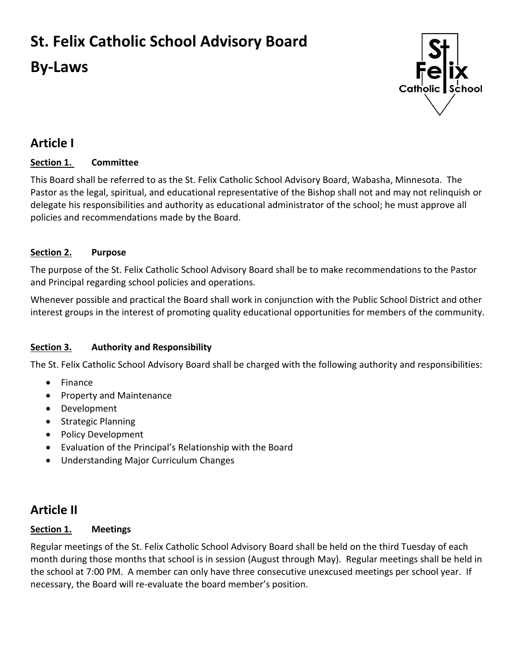# **St. Felix Catholic School Advisory Board**

# **By-Laws**



# **Article I**

## **Section 1. Committee**

This Board shall be referred to as the St. Felix Catholic School Advisory Board, Wabasha, Minnesota. The Pastor as the legal, spiritual, and educational representative of the Bishop shall not and may not relinquish or delegate his responsibilities and authority as educational administrator of the school; he must approve all policies and recommendations made by the Board.

## **Section 2. Purpose**

The purpose of the St. Felix Catholic School Advisory Board shall be to make recommendations to the Pastor and Principal regarding school policies and operations.

Whenever possible and practical the Board shall work in conjunction with the Public School District and other interest groups in the interest of promoting quality educational opportunities for members of the community.

## **Section 3. Authority and Responsibility**

The St. Felix Catholic School Advisory Board shall be charged with the following authority and responsibilities:

- Finance
- Property and Maintenance
- Development
- Strategic Planning
- Policy Development
- Evaluation of the Principal's Relationship with the Board
- Understanding Major Curriculum Changes

# **Article II**

## **Section 1. Meetings**

Regular meetings of the St. Felix Catholic School Advisory Board shall be held on the third Tuesday of each month during those months that school is in session (August through May). Regular meetings shall be held in the school at 7:00 PM. A member can only have three consecutive unexcused meetings per school year. If necessary, the Board will re-evaluate the board member's position.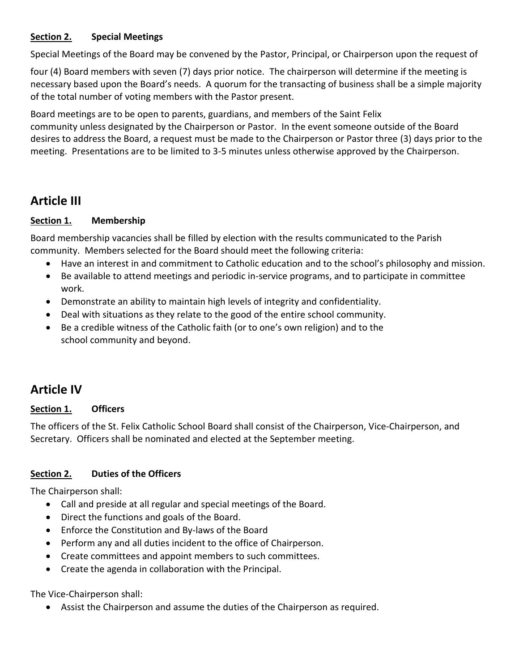### **Section 2. Special Meetings**

Special Meetings of the Board may be convened by the Pastor, Principal, or Chairperson upon the request of

four (4) Board members with seven (7) days prior notice. The chairperson will determine if the meeting is necessary based upon the Board's needs. A quorum for the transacting of business shall be a simple majority of the total number of voting members with the Pastor present.

Board meetings are to be open to parents, guardians, and members of the Saint Felix community unless designated by the Chairperson or Pastor. In the event someone outside of the Board desires to address the Board, a request must be made to the Chairperson or Pastor three (3) days prior to the meeting. Presentations are to be limited to 3-5 minutes unless otherwise approved by the Chairperson.

## **Article III**

### **Section 1. Membership**

Board membership vacancies shall be filled by election with the results communicated to the Parish community. Members selected for the Board should meet the following criteria:

- Have an interest in and commitment to Catholic education and to the school's philosophy and mission.
- Be available to attend meetings and periodic in-service programs, and to participate in committee work.
- Demonstrate an ability to maintain high levels of integrity and confidentiality.
- Deal with situations as they relate to the good of the entire school community.
- Be a credible witness of the Catholic faith (or to one's own religion) and to the school community and beyond.

# **Article IV**

## **Section 1. Officers**

The officers of the St. Felix Catholic School Board shall consist of the Chairperson, Vice-Chairperson, and Secretary. Officers shall be nominated and elected at the September meeting.

## **Section 2. Duties of the Officers**

The Chairperson shall:

- Call and preside at all regular and special meetings of the Board.
- Direct the functions and goals of the Board.
- Enforce the Constitution and By-laws of the Board
- Perform any and all duties incident to the office of Chairperson.
- Create committees and appoint members to such committees.
- Create the agenda in collaboration with the Principal.

#### The Vice-Chairperson shall:

Assist the Chairperson and assume the duties of the Chairperson as required.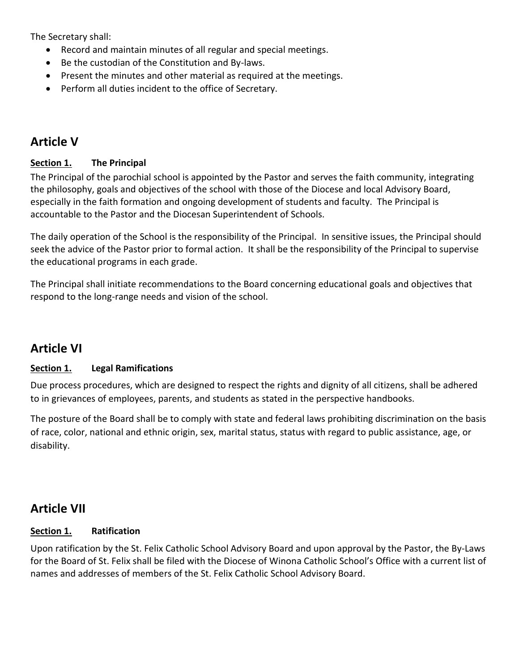The Secretary shall:

- Record and maintain minutes of all regular and special meetings.
- Be the custodian of the Constitution and By-laws.
- Present the minutes and other material as required at the meetings.
- Perform all duties incident to the office of Secretary.

## **Article V**

### **Section 1. The Principal**

The Principal of the parochial school is appointed by the Pastor and serves the faith community, integrating the philosophy, goals and objectives of the school with those of the Diocese and local Advisory Board, especially in the faith formation and ongoing development of students and faculty. The Principal is accountable to the Pastor and the Diocesan Superintendent of Schools.

The daily operation of the School is the responsibility of the Principal. In sensitive issues, the Principal should seek the advice of the Pastor prior to formal action. It shall be the responsibility of the Principal to supervise the educational programs in each grade.

The Principal shall initiate recommendations to the Board concerning educational goals and objectives that respond to the long-range needs and vision of the school.

# **Article VI**

#### **Section 1. Legal Ramifications**

Due process procedures, which are designed to respect the rights and dignity of all citizens, shall be adhered to in grievances of employees, parents, and students as stated in the perspective handbooks.

The posture of the Board shall be to comply with state and federal laws prohibiting discrimination on the basis of race, color, national and ethnic origin, sex, marital status, status with regard to public assistance, age, or disability.

# **Article VII**

#### **Section 1. Ratification**

Upon ratification by the St. Felix Catholic School Advisory Board and upon approval by the Pastor, the By-Laws for the Board of St. Felix shall be filed with the Diocese of Winona Catholic School's Office with a current list of names and addresses of members of the St. Felix Catholic School Advisory Board.